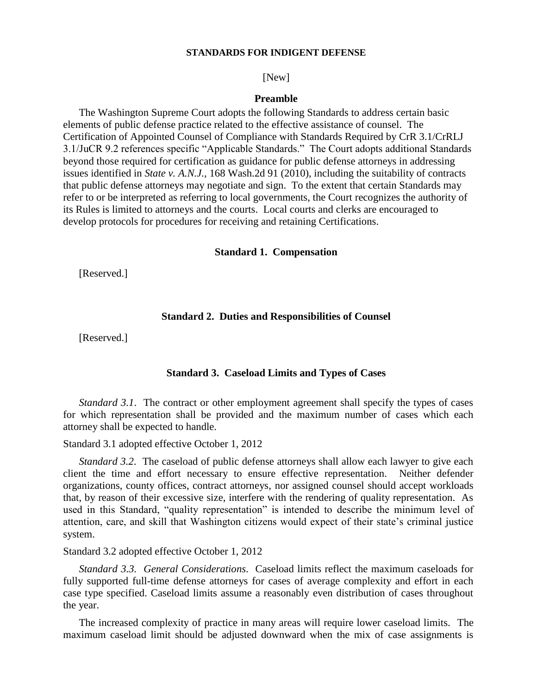#### **STANDARDS FOR INDIGENT DEFENSE**

[New]

# **Preamble**

The Washington Supreme Court adopts the following Standards to address certain basic elements of public defense practice related to the effective assistance of counsel. The Certification of Appointed Counsel of Compliance with Standards Required by CrR 3.1/CrRLJ 3.1/JuCR 9.2 references specific "Applicable Standards." The Court adopts additional Standards beyond those required for certification as guidance for public defense attorneys in addressing issues identified in *State v. A.N.J.,* 168 Wash.2d 91 (2010), including the suitability of contracts that public defense attorneys may negotiate and sign. To the extent that certain Standards may refer to or be interpreted as referring to local governments, the Court recognizes the authority of its Rules is limited to attorneys and the courts. Local courts and clerks are encouraged to develop protocols for procedures for receiving and retaining Certifications.

#### **Standard 1. Compensation**

[Reserved.]

# **Standard 2. Duties and Responsibilities of Counsel**

[Reserved.]

### **Standard 3. Caseload Limits and Types of Cases**

*Standard 3.1*. The contract or other employment agreement shall specify the types of cases for which representation shall be provided and the maximum number of cases which each attorney shall be expected to handle.

### Standard 3.1 adopted effective October 1, 2012

*Standard 3.2*. The caseload of public defense attorneys shall allow each lawyer to give each client the time and effort necessary to ensure effective representation. Neither defender organizations, county offices, contract attorneys, nor assigned counsel should accept workloads that, by reason of their excessive size, interfere with the rendering of quality representation. As used in this Standard, "quality representation" is intended to describe the minimum level of attention, care, and skill that Washington citizens would expect of their state's criminal justice system.

Standard 3.2 adopted effective October 1, 2012

*Standard 3.3. General Considerations*. Caseload limits reflect the maximum caseloads for fully supported full-time defense attorneys for cases of average complexity and effort in each case type specified. Caseload limits assume a reasonably even distribution of cases throughout the year.

The increased complexity of practice in many areas will require lower caseload limits. The maximum caseload limit should be adjusted downward when the mix of case assignments is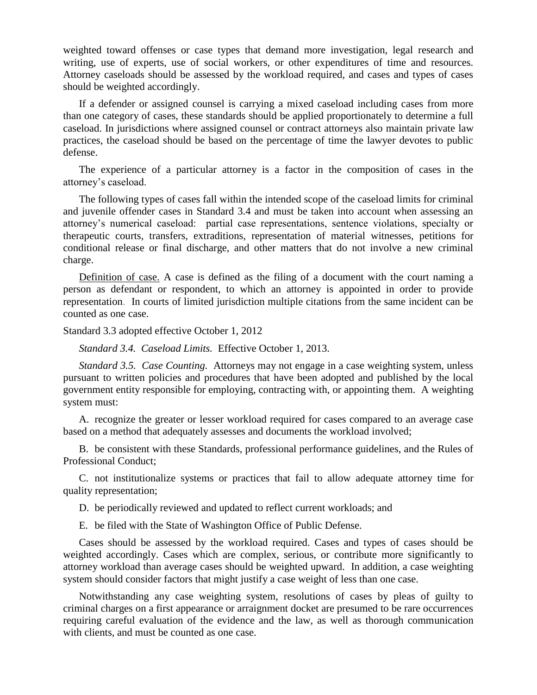weighted toward offenses or case types that demand more investigation, legal research and writing, use of experts, use of social workers, or other expenditures of time and resources. Attorney caseloads should be assessed by the workload required, and cases and types of cases should be weighted accordingly.

If a defender or assigned counsel is carrying a mixed caseload including cases from more than one category of cases, these standards should be applied proportionately to determine a full caseload. In jurisdictions where assigned counsel or contract attorneys also maintain private law practices, the caseload should be based on the percentage of time the lawyer devotes to public defense.

The experience of a particular attorney is a factor in the composition of cases in the attorney's caseload.

The following types of cases fall within the intended scope of the caseload limits for criminal and juvenile offender cases in Standard 3.4 and must be taken into account when assessing an attorney's numerical caseload: partial case representations, sentence violations, specialty or therapeutic courts, transfers, extraditions, representation of material witnesses, petitions for conditional release or final discharge, and other matters that do not involve a new criminal charge.

Definition of case. A case is defined as the filing of a document with the court naming a person as defendant or respondent, to which an attorney is appointed in order to provide representation. In courts of limited jurisdiction multiple citations from the same incident can be counted as one case.

Standard 3.3 adopted effective October 1, 2012

*Standard 3.4. Caseload Limits.*Effective October 1, 2013.

*Standard 3.5. Case Counting.*Attorneys may not engage in a case weighting system, unless pursuant to written policies and procedures that have been adopted and published by the local government entity responsible for employing, contracting with, or appointing them. A weighting system must:

A. recognize the greater or lesser workload required for cases compared to an average case based on a method that adequately assesses and documents the workload involved;

B. be consistent with these Standards, professional performance guidelines, and the Rules of Professional Conduct;

C. not institutionalize systems or practices that fail to allow adequate attorney time for quality representation;

D. be periodically reviewed and updated to reflect current workloads; and

E. be filed with the State of Washington Office of Public Defense.

Cases should be assessed by the workload required. Cases and types of cases should be weighted accordingly. Cases which are complex, serious, or contribute more significantly to attorney workload than average cases should be weighted upward. In addition, a case weighting system should consider factors that might justify a case weight of less than one case.

Notwithstanding any case weighting system, resolutions of cases by pleas of guilty to criminal charges on a first appearance or arraignment docket are presumed to be rare occurrences requiring careful evaluation of the evidence and the law, as well as thorough communication with clients, and must be counted as one case.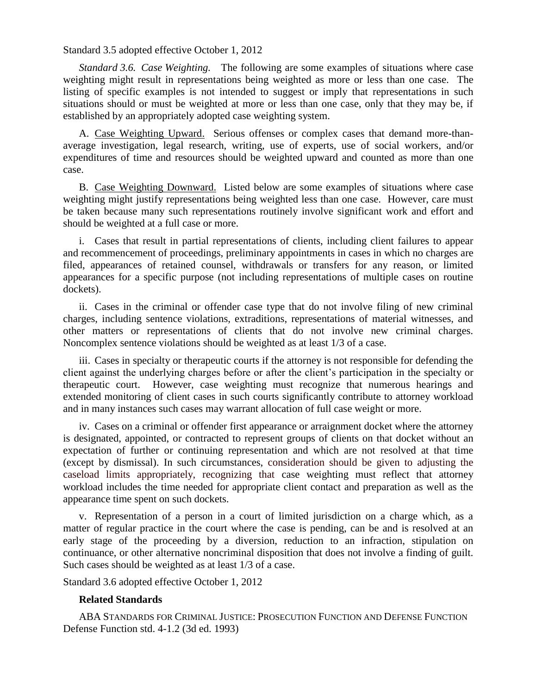# Standard 3.5 adopted effective October 1, 2012

*Standard 3.6. Case Weighting.*The following are some examples of situations where case weighting might result in representations being weighted as more or less than one case. The listing of specific examples is not intended to suggest or imply that representations in such situations should or must be weighted at more or less than one case, only that they may be, if established by an appropriately adopted case weighting system.

A. Case Weighting Upward. Serious offenses or complex cases that demand more-thanaverage investigation, legal research, writing, use of experts, use of social workers, and/or expenditures of time and resources should be weighted upward and counted as more than one case.

B. Case Weighting Downward. Listed below are some examples of situations where case weighting might justify representations being weighted less than one case. However, care must be taken because many such representations routinely involve significant work and effort and should be weighted at a full case or more.

i. Cases that result in partial representations of clients, including client failures to appear and recommencement of proceedings, preliminary appointments in cases in which no charges are filed, appearances of retained counsel, withdrawals or transfers for any reason, or limited appearances for a specific purpose (not including representations of multiple cases on routine dockets).

ii. Cases in the criminal or offender case type that do not involve filing of new criminal charges, including sentence violations, extraditions, representations of material witnesses, and other matters or representations of clients that do not involve new criminal charges. Noncomplex sentence violations should be weighted as at least 1/3 of a case.

iii. Cases in specialty or therapeutic courts if the attorney is not responsible for defending the client against the underlying charges before or after the client's participation in the specialty or therapeutic court. However, case weighting must recognize that numerous hearings and extended monitoring of client cases in such courts significantly contribute to attorney workload and in many instances such cases may warrant allocation of full case weight or more.

iv. Cases on a criminal or offender first appearance or arraignment docket where the attorney is designated, appointed, or contracted to represent groups of clients on that docket without an expectation of further or continuing representation and which are not resolved at that time (except by dismissal). In such circumstances, consideration should be given to adjusting the caseload limits appropriately, recognizing that case weighting must reflect that attorney workload includes the time needed for appropriate client contact and preparation as well as the appearance time spent on such dockets.

v. Representation of a person in a court of limited jurisdiction on a charge which, as a matter of regular practice in the court where the case is pending, can be and is resolved at an early stage of the proceeding by a diversion, reduction to an infraction, stipulation on continuance, or other alternative noncriminal disposition that does not involve a finding of guilt. Such cases should be weighted as at least 1/3 of a case.

Standard 3.6 adopted effective October 1, 2012

# **Related Standards**

ABA STANDARDS FOR CRIMINAL JUSTICE: PROSECUTION FUNCTION AND DEFENSE FUNCTION Defense Function std. 4-1.2 (3d ed. 1993)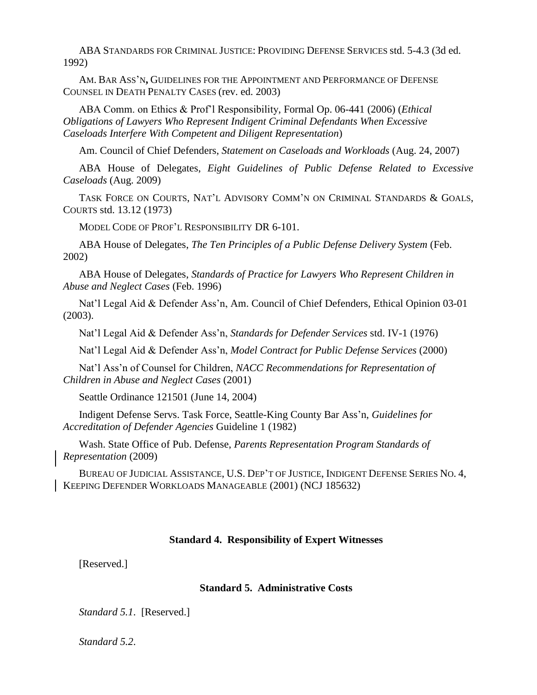ABA STANDARDS FOR CRIMINAL JUSTICE: PROVIDING DEFENSE SERVICES std. 5-4.3 (3d ed. 1992)

AM. BAR ASS'N**,** GUIDELINES FOR THE APPOINTMENT AND PERFORMANCE OF DEFENSE COUNSEL IN DEATH PENALTY CASES (rev. ed. 2003)

ABA Comm. on Ethics & Prof'l Responsibility, Formal Op. 06-441 (2006) (*Ethical Obligations of Lawyers Who Represent Indigent Criminal Defendants When Excessive Caseloads Interfere With Competent and Diligent Representation*)

Am. Council of Chief Defenders, *Statement on Caseloads and Workloads* (Aug. 24, 2007)

ABA House of Delegates, *Eight Guidelines of Public Defense Related to Excessive Caseloads* (Aug. 2009)

TASK FORCE ON COURTS, NAT'L ADVISORY COMM'N ON CRIMINAL STANDARDS & GOALS, COURTS std. 13.12 (1973)

MODEL CODE OF PROF'L RESPONSIBILITY DR 6-101.

ABA House of Delegates, *The Ten Principles of a Public Defense Delivery System* (Feb. 2002)

ABA House of Delegates, *Standards of Practice for Lawyers Who Represent Children in Abuse and Neglect Cases* (Feb. 1996)

Nat'l Legal Aid & Defender Ass'n, Am. Council of Chief Defenders, Ethical Opinion 03-01 (2003).

Nat'l Legal Aid & Defender Ass'n, *Standards for Defender Services* std. IV-1 (1976)

Nat'l Legal Aid & Defender Ass'n, *Model Contract for Public Defense Services* (2000)

Nat'l Ass'n of Counsel for Children, *NACC Recommendations for Representation of Children in Abuse and Neglect Cases* (2001)

Seattle Ordinance 121501 (June 14, 2004)

Indigent Defense Servs. Task Force, Seattle-King County Bar Ass'n, *Guidelines for Accreditation of Defender Agencies* Guideline 1 (1982)

Wash. State Office of Pub. Defense, *Parents Representation Program Standards of Representation* (2009)

BUREAU OF JUDICIAL ASSISTANCE, U.S. DEP'T OF JUSTICE, INDIGENT DEFENSE SERIES NO. 4, KEEPING DEFENDER WORKLOADS MANAGEABLE (2001) (NCJ 185632)

#### **Standard 4. Responsibility of Expert Witnesses**

[Reserved.]

# **Standard 5. Administrative Costs**

*Standard 5.1*. [Reserved.]

*Standard 5.2*.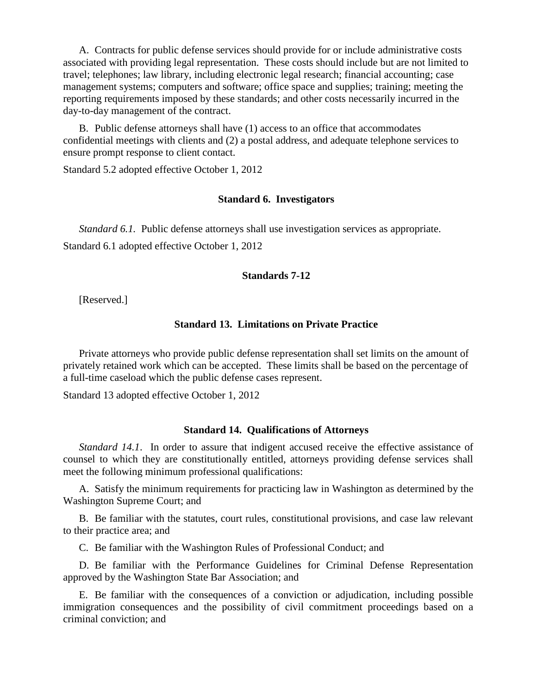A. Contracts for public defense services should provide for or include administrative costs associated with providing legal representation. These costs should include but are not limited to travel; telephones; law library, including electronic legal research; financial accounting; case management systems; computers and software; office space and supplies; training; meeting the reporting requirements imposed by these standards; and other costs necessarily incurred in the day-to-day management of the contract.

B. Public defense attorneys shall have (1) access to an office that accommodates confidential meetings with clients and (2) a postal address, and adequate telephone services to ensure prompt response to client contact.

Standard 5.2 adopted effective October 1, 2012

### **Standard 6. Investigators**

*Standard 6.1.* Public defense attorneys shall use investigation services as appropriate. Standard 6.1 adopted effective October 1, 2012

# **Standards 7-12**

[Reserved.]

# **Standard 13. Limitations on Private Practice**

Private attorneys who provide public defense representation shall set limits on the amount of privately retained work which can be accepted. These limits shall be based on the percentage of a full-time caseload which the public defense cases represent.

Standard 13 adopted effective October 1, 2012

### **Standard 14. Qualifications of Attorneys**

*Standard 14.1*. In order to assure that indigent accused receive the effective assistance of counsel to which they are constitutionally entitled, attorneys providing defense services shall meet the following minimum professional qualifications:

A. Satisfy the minimum requirements for practicing law in Washington as determined by the Washington Supreme Court; and

B. Be familiar with the statutes, court rules, constitutional provisions, and case law relevant to their practice area; and

C. Be familiar with the Washington Rules of Professional Conduct; and

D. Be familiar with the Performance Guidelines for Criminal Defense Representation approved by the Washington State Bar Association; and

E. Be familiar with the consequences of a conviction or adjudication, including possible immigration consequences and the possibility of civil commitment proceedings based on a criminal conviction; and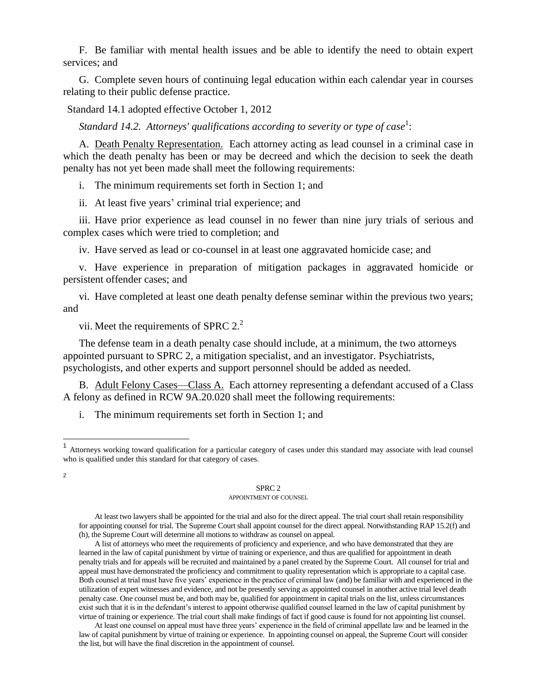F. Be familiar with mental health issues and be able to identify the need to obtain expert services; and

G. Complete seven hours of continuing legal education within each calendar year in courses relating to their public defense practice.

Standard 14.1 adopted effective October 1, 2012

Standard 14.2. Attorneys' qualifications according to severity or type of case<sup>1</sup>:

A. Death Penalty Representation. Each attorney acting as lead counsel in a criminal case in which the death penalty has been or may be decreed and which the decision to seek the death penalty has not yet been made shall meet the following requirements:

i. The minimum requirements set forth in Section 1; and

ii. At least five years' criminal trial experience; and

iii. Have prior experience as lead counsel in no fewer than nine jury trials of serious and complex cases which were tried to completion; and

iv. Have served as lead or co-counsel in at least one aggravated homicide case; and

v. Have experience in preparation of mitigation packages in aggravated homicide or persistent offender cases; and

vi. Have completed at least one death penalty defense seminar within the previous two years; and

vii. Meet the requirements of SPRC  $2<sup>2</sup>$ .

The defense team in a death penalty case should include, at a minimum, the two attorneys appointed pursuant to SPRC 2, a mitigation specialist, and an investigator. Psychiatrists, psychologists, and other experts and support personnel should be added as needed.

B. Adult Felony Cases—Class A. Each attorney representing a defendant accused of a Class A felony as defined in RCW 9A.20.020 shall meet the following requirements:

i. The minimum requirements set forth in Section 1; and

2

l

#### SPRC 2

#### APPOINTMENT OF COUNSEL

At least two lawyers shall be appointed for the trial and also for the direct appeal. The trial court shall retain responsibility for appointing counsel for trial. The Supreme Court shall appoint counsel for the direct appeal. Notwithstanding RAP 15.2(f) and (h), the Supreme Court will determine all motions to withdraw as counsel on appeal.

A list of attorneys who meet the requirements of proficiency and experience, and who have demonstrated that they are learned in the law of capital punishment by virtue of training or experience, and thus are qualified for appointment in death penalty trials and for appeals will be recruited and maintained by a panel created by the Supreme Court. All counsel for trial and appeal must have demonstrated the proficiency and commitment to quality representation which is appropriate to a capital case. Both counsel at trial must have five years' experience in the practice of criminal law (and) be familiar with and experienced in the utilization of expert witnesses and evidence, and not be presently serving as appointed counsel in another active trial level death penalty case. One counsel must be, and both may be, qualified for appointment in capital trials on the list, unless circumstances exist such that it is in the defendant's interest to appoint otherwise qualified counsel learned in the law of capital punishment by virtue of training or experience. The trial court shall make findings of fact if good cause is found for not appointing list counsel.

At least one counsel on appeal must have three years' experience in the field of criminal appellate law and be learned in the law of capital punishment by virtue of training or experience. In appointing counsel on appeal, the Supreme Court will consider the list, but will have the final discretion in the appointment of counsel.

<sup>&</sup>lt;sup>1</sup> Attorneys working toward qualification for a particular category of cases under this standard may associate with lead counsel who is qualified under this standard for that category of cases.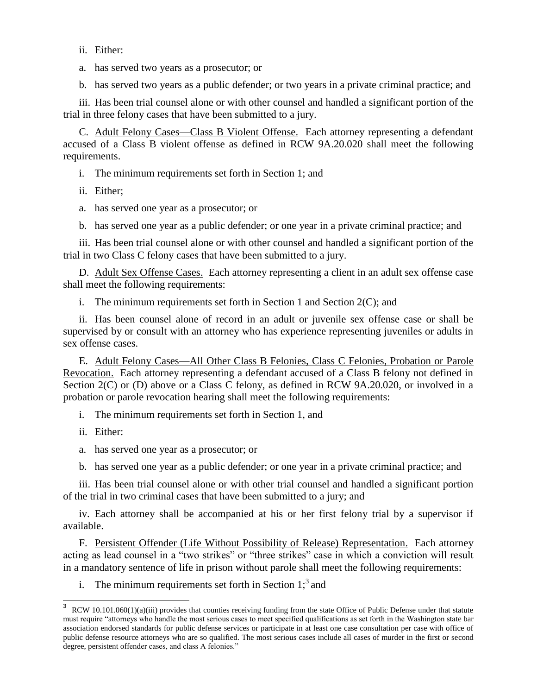ii. Either:

a. has served two years as a prosecutor; or

b. has served two years as a public defender; or two years in a private criminal practice; and

iii. Has been trial counsel alone or with other counsel and handled a significant portion of the trial in three felony cases that have been submitted to a jury.

C. Adult Felony Cases—Class B Violent Offense. Each attorney representing a defendant accused of a Class B violent offense as defined in RCW 9A.20.020 shall meet the following requirements.

- i. The minimum requirements set forth in Section 1; and
- ii. Either;
- a. has served one year as a prosecutor; or
- b. has served one year as a public defender; or one year in a private criminal practice; and

iii. Has been trial counsel alone or with other counsel and handled a significant portion of the trial in two Class C felony cases that have been submitted to a jury.

D. Adult Sex Offense Cases. Each attorney representing a client in an adult sex offense case shall meet the following requirements:

i. The minimum requirements set forth in Section 1 and Section  $2(C)$ ; and

ii. Has been counsel alone of record in an adult or juvenile sex offense case or shall be supervised by or consult with an attorney who has experience representing juveniles or adults in sex offense cases.

E. Adult Felony Cases—All Other Class B Felonies, Class C Felonies, Probation or Parole Revocation. Each attorney representing a defendant accused of a Class B felony not defined in Section 2(C) or (D) above or a Class C felony, as defined in RCW 9A.20.020, or involved in a probation or parole revocation hearing shall meet the following requirements:

i. The minimum requirements set forth in Section 1, and

ii. Either:

 $\overline{a}$ 

a. has served one year as a prosecutor; or

b. has served one year as a public defender; or one year in a private criminal practice; and

iii. Has been trial counsel alone or with other trial counsel and handled a significant portion of the trial in two criminal cases that have been submitted to a jury; and

iv. Each attorney shall be accompanied at his or her first felony trial by a supervisor if available.

F. Persistent Offender (Life Without Possibility of Release) Representation. Each attorney acting as lead counsel in a "two strikes" or "three strikes" case in which a conviction will result in a mandatory sentence of life in prison without parole shall meet the following requirements:

i. The minimum requirements set forth in Section  $1$ ;<sup>3</sup> and

<sup>3</sup> RCW 10.101.060(1)(a)(iii) provides that counties receiving funding from the state Office of Public Defense under that statute must require "attorneys who handle the most serious cases to meet specified qualifications as set forth in the Washington state bar association endorsed standards for public defense services or participate in at least one case consultation per case with office of public defense resource attorneys who are so qualified. The most serious cases include all cases of murder in the first or second degree, persistent offender cases, and class A felonies."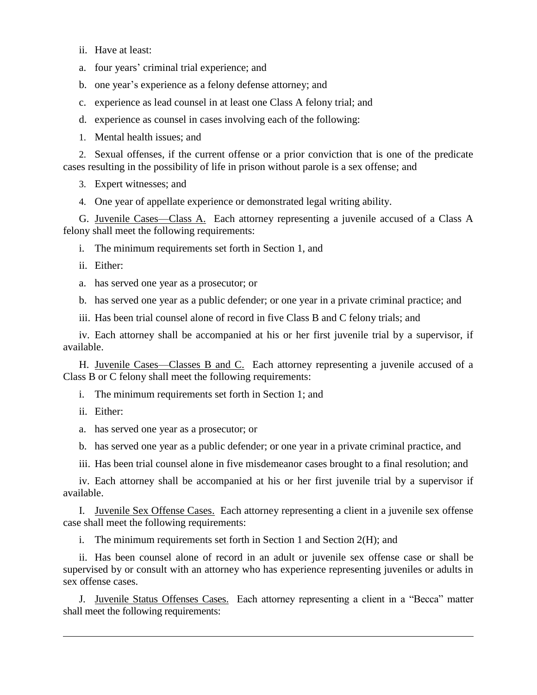ii. Have at least:

a. four years' criminal trial experience; and

b. one year's experience as a felony defense attorney; and

c. experience as lead counsel in at least one Class A felony trial; and

d. experience as counsel in cases involving each of the following:

1. Mental health issues; and

2. Sexual offenses, if the current offense or a prior conviction that is one of the predicate cases resulting in the possibility of life in prison without parole is a sex offense; and

3. Expert witnesses; and

4. One year of appellate experience or demonstrated legal writing ability.

G. Juvenile Cases—Class A. Each attorney representing a juvenile accused of a Class A felony shall meet the following requirements:

i. The minimum requirements set forth in Section 1, and

ii. Either:

a. has served one year as a prosecutor; or

b. has served one year as a public defender; or one year in a private criminal practice; and

iii. Has been trial counsel alone of record in five Class B and C felony trials; and

iv. Each attorney shall be accompanied at his or her first juvenile trial by a supervisor, if available.

H. Juvenile Cases—Classes B and C. Each attorney representing a juvenile accused of a Class B or C felony shall meet the following requirements:

i. The minimum requirements set forth in Section 1; and

ii. Either:

 $\overline{a}$ 

a. has served one year as a prosecutor; or

b. has served one year as a public defender; or one year in a private criminal practice, and

iii. Has been trial counsel alone in five misdemeanor cases brought to a final resolution; and

iv. Each attorney shall be accompanied at his or her first juvenile trial by a supervisor if available.

I. Juvenile Sex Offense Cases.Each attorney representing a client in a juvenile sex offense case shall meet the following requirements:

i. The minimum requirements set forth in Section 1 and Section 2(H); and

ii. Has been counsel alone of record in an adult or juvenile sex offense case or shall be supervised by or consult with an attorney who has experience representing juveniles or adults in sex offense cases.

J. Juvenile Status Offenses Cases. Each attorney representing a client in a "Becca" matter shall meet the following requirements: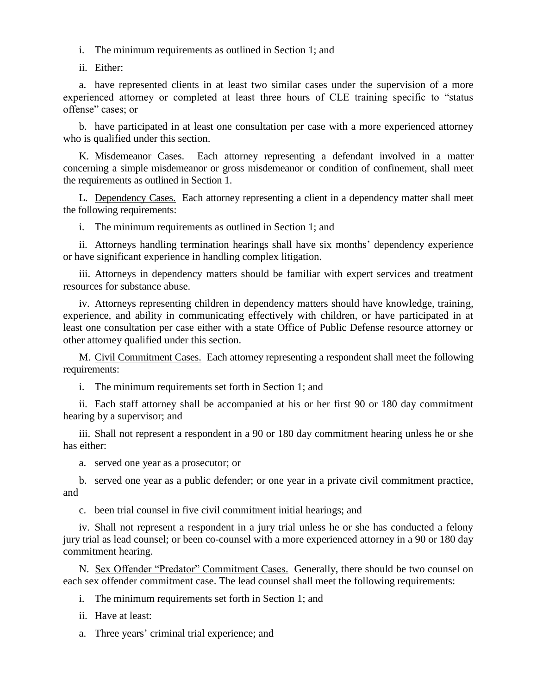i. The minimum requirements as outlined in Section 1; and

ii. Either:

a. have represented clients in at least two similar cases under the supervision of a more experienced attorney or completed at least three hours of CLE training specific to "status offense" cases; or

b. have participated in at least one consultation per case with a more experienced attorney who is qualified under this section.

K. Misdemeanor Cases.Each attorney representing a defendant involved in a matter concerning a simple misdemeanor or gross misdemeanor or condition of confinement, shall meet the requirements as outlined in Section 1.

L. Dependency Cases.Each attorney representing a client in a dependency matter shall meet the following requirements:

i. The minimum requirements as outlined in Section 1; and

ii. Attorneys handling termination hearings shall have six months' dependency experience or have significant experience in handling complex litigation.

iii. Attorneys in dependency matters should be familiar with expert services and treatment resources for substance abuse.

iv. Attorneys representing children in dependency matters should have knowledge, training, experience, and ability in communicating effectively with children, or have participated in at least one consultation per case either with a state Office of Public Defense resource attorney or other attorney qualified under this section.

M. Civil Commitment Cases.Each attorney representing a respondent shall meet the following requirements:

i. The minimum requirements set forth in Section 1; and

ii. Each staff attorney shall be accompanied at his or her first 90 or 180 day commitment hearing by a supervisor; and

iii. Shall not represent a respondent in a 90 or 180 day commitment hearing unless he or she has either:

a. served one year as a prosecutor; or

b. served one year as a public defender; or one year in a private civil commitment practice, and

c. been trial counsel in five civil commitment initial hearings; and

iv. Shall not represent a respondent in a jury trial unless he or she has conducted a felony jury trial as lead counsel; or been co-counsel with a more experienced attorney in a 90 or 180 day commitment hearing.

N. Sex Offender "Predator" Commitment Cases.Generally, there should be two counsel on each sex offender commitment case. The lead counsel shall meet the following requirements:

i. The minimum requirements set forth in Section 1; and

ii. Have at least:

a. Three years' criminal trial experience; and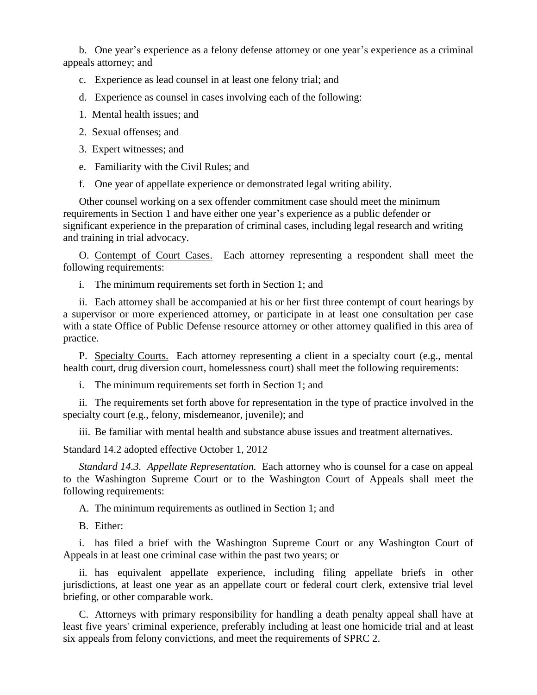b. One year's experience as a felony defense attorney or one year's experience as a criminal appeals attorney; and

- c. Experience as lead counsel in at least one felony trial; and
- d. Experience as counsel in cases involving each of the following:
- 1. Mental health issues; and
- 2. Sexual offenses; and
- 3. Expert witnesses; and
- e. Familiarity with the Civil Rules; and
- f. One year of appellate experience or demonstrated legal writing ability.

Other counsel working on a sex offender commitment case should meet the minimum requirements in Section 1 and have either one year's experience as a public defender or significant experience in the preparation of criminal cases, including legal research and writing and training in trial advocacy.

O. Contempt of Court Cases.Each attorney representing a respondent shall meet the following requirements:

i. The minimum requirements set forth in Section 1; and

ii. Each attorney shall be accompanied at his or her first three contempt of court hearings by a supervisor or more experienced attorney, or participate in at least one consultation per case with a state Office of Public Defense resource attorney or other attorney qualified in this area of practice.

P. Specialty Courts.Each attorney representing a client in a specialty court (e.g., mental health court, drug diversion court, homelessness court) shall meet the following requirements:

i. The minimum requirements set forth in Section 1; and

ii. The requirements set forth above for representation in the type of practice involved in the specialty court (e.g., felony, misdemeanor, juvenile); and

iii. Be familiar with mental health and substance abuse issues and treatment alternatives.

Standard 14.2 adopted effective October 1, 2012

*Standard 14.3. Appellate Representation.* Each attorney who is counsel for a case on appeal to the Washington Supreme Court or to the Washington Court of Appeals shall meet the following requirements:

A. The minimum requirements as outlined in Section 1; and

B. Either:

i. has filed a brief with the Washington Supreme Court or any Washington Court of Appeals in at least one criminal case within the past two years; or

ii. has equivalent appellate experience, including filing appellate briefs in other jurisdictions, at least one year as an appellate court or federal court clerk, extensive trial level briefing, or other comparable work.

C. Attorneys with primary responsibility for handling a death penalty appeal shall have at least five years' criminal experience, preferably including at least one homicide trial and at least six appeals from felony convictions, and meet the requirements of SPRC 2.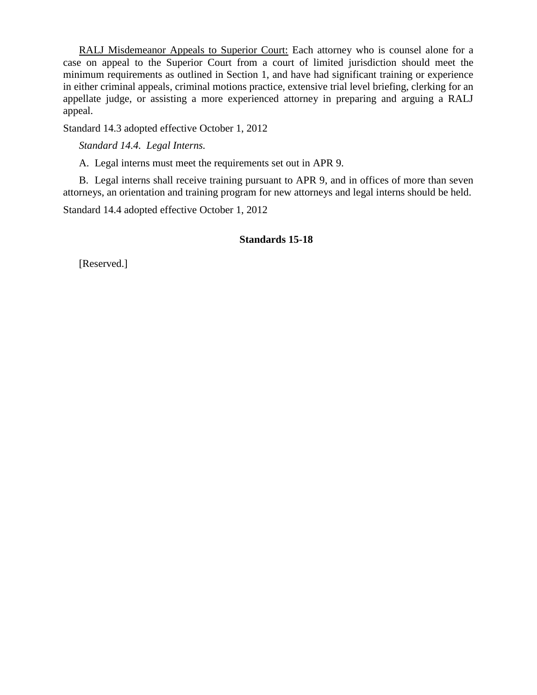RALJ Misdemeanor Appeals to Superior Court: Each attorney who is counsel alone for a case on appeal to the Superior Court from a court of limited jurisdiction should meet the minimum requirements as outlined in Section 1, and have had significant training or experience in either criminal appeals, criminal motions practice, extensive trial level briefing, clerking for an appellate judge, or assisting a more experienced attorney in preparing and arguing a RALJ appeal.

Standard 14.3 adopted effective October 1, 2012

*Standard 14.4. Legal Interns.*

A. Legal interns must meet the requirements set out in APR 9.

B. Legal interns shall receive training pursuant to APR 9, and in offices of more than seven attorneys, an orientation and training program for new attorneys and legal interns should be held.

Standard 14.4 adopted effective October 1, 2012

# **Standards 15-18**

[Reserved.]